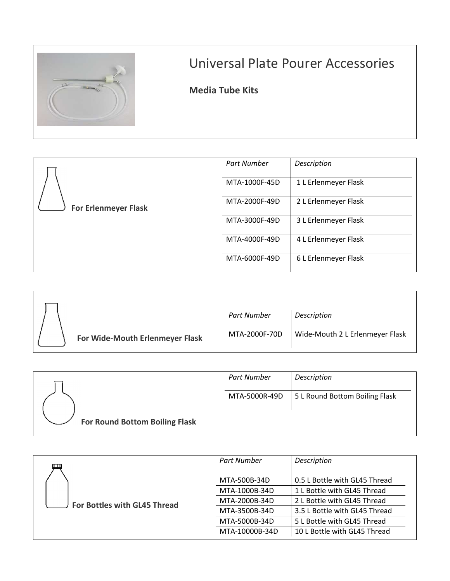

## Universal Plate Pourer Accessories

|                                 | <b>Part Number</b> | Description                     |
|---------------------------------|--------------------|---------------------------------|
| For Wide-Mouth Erlenmeyer Flask | MTA-2000F-70D      | Wide-Mouth 2 L Erlenmeyer Flask |

|                                       | Part Number   | Description                    |
|---------------------------------------|---------------|--------------------------------|
|                                       | MTA-5000R-49D | 5 L Round Bottom Boiling Flask |
| <b>For Round Bottom Boiling Flask</b> |               |                                |

| Е                            | Part Number    | Description                   |
|------------------------------|----------------|-------------------------------|
|                              | MTA-500B-34D   | 0.5 L Bottle with GL45 Thread |
| For Bottles with GL45 Thread | MTA-1000B-34D  | 1 L Bottle with GL45 Thread   |
|                              | MTA-2000B-34D  | 2 L Bottle with GL45 Thread   |
|                              | MTA-3500B-34D  | 3.5 L Bottle with GL45 Thread |
|                              | MTA-5000B-34D  | 5 L Bottle with GL45 Thread   |
|                              | MTA-10000B-34D | 10 L Bottle with GL45 Thread  |